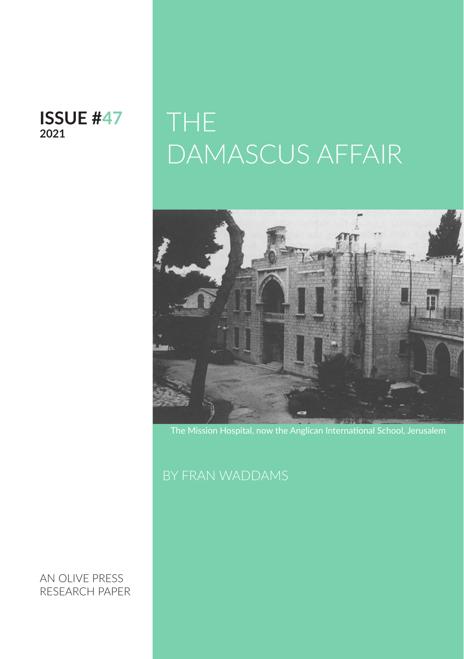#### **ISSUE #47 2021**

## THE DAMASCUS AFFAIR



The Mission Hospital, now the Anglican International School, Jerusalem

AN OLIVE PRESS RESEARCH PAPER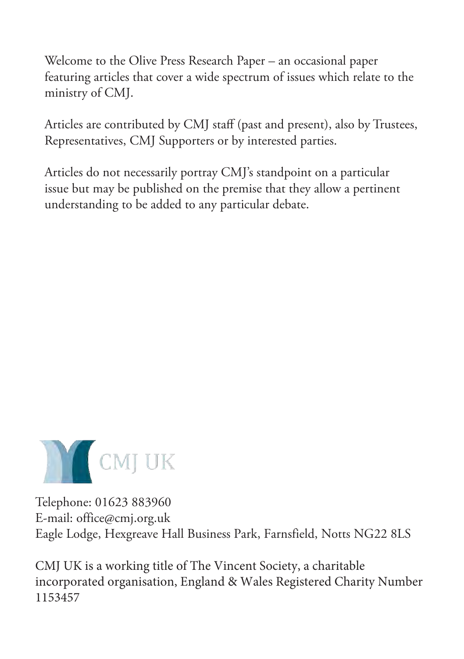Welcome to the Olive Press Research Paper – an occasional paper featuring articles that cover a wide spectrum of issues which relate to the ministry of CMJ.

Articles are contributed by CMJ staff (past and present), also by Trustees, Representatives, CMJ Supporters or by interested parties.

Articles do not necessarily portray CMJ's standpoint on a particular issue but may be published on the premise that they allow a pertinent understanding to be added to any particular debate.



Telephone: 01623 883960 E-mail: office@cmj.org.uk Eagle Lodge, Hexgreave Hall Business Park, Farnsfield, Notts NG22 8LS

CMJ UK is a working title of The Vincent Society, a charitable incorporated organisation, England & Wales Registered Charity Number 1153457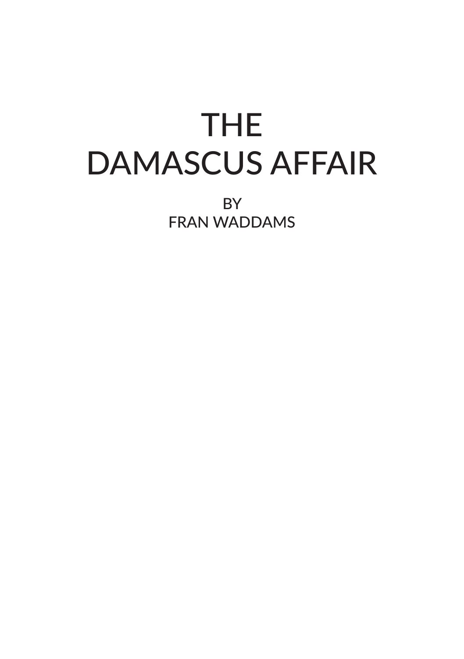# THE DAMASCUS AFFAIR

BY FRAN WADDAMS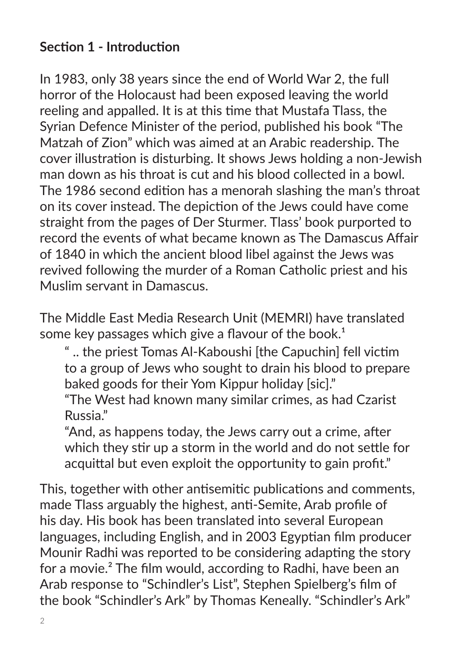#### **Section 1 - Introduction**

In 1983, only 38 years since the end of World War 2, the full horror of the Holocaust had been exposed leaving the world reeling and appalled. It is at this time that Mustafa Tlass, the Syrian Defence Minister of the period, published his book "The Matzah of Zion" which was aimed at an Arabic readership. The cover illustration is disturbing. It shows Jews holding a non-Jewish man down as his throat is cut and his blood collected in a bowl. The 1986 second edition has a menorah slashing the man's throat on its cover instead. The depiction of the Jews could have come straight from the pages of Der Sturmer. Tlass' book purported to record the events of what became known as The Damascus Affair of 1840 in which the ancient blood libel against the Jews was revived following the murder of a Roman Catholic priest and his Muslim servant in Damascus.

The Middle East Media Research Unit (MEMRI) have translated some key passages which give a flavour of the book.<sup>1</sup>

" .. the priest Tomas Al-Kaboushi [the Capuchin] fell victim to a group of Jews who sought to drain his blood to prepare baked goods for their Yom Kippur holiday [sic]."

"The West had known many similar crimes, as had Czarist Russia."

"And, as happens today, the Jews carry out a crime, after which they stir up a storm in the world and do not settle for acquittal but even exploit the opportunity to gain profit."

This, together with other antisemitic publications and comments, made Tlass arguably the highest, anti-Semite, Arab profile of his day. His book has been translated into several European languages, including English, and in 2003 Egyptian film producer Mounir Radhi was reported to be considering adapting the story for a movie.<sup>2</sup> The film would, according to Radhi, have been an Arab response to "Schindler's List", Stephen Spielberg's film of the book "Schindler's Ark" by Thomas Keneally. "Schindler's Ark"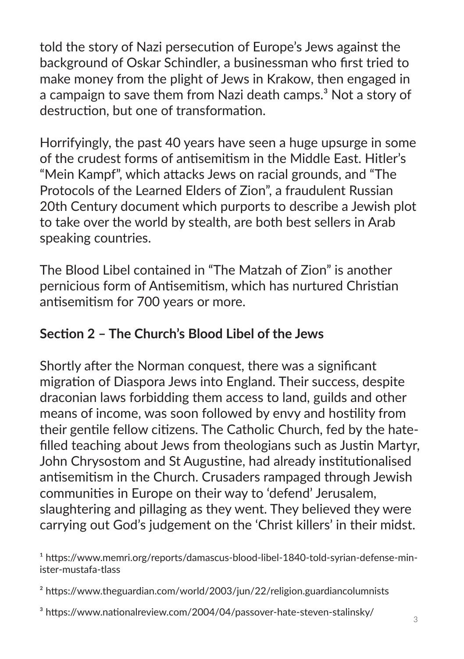told the story of Nazi persecution of Europe's Jews against the background of Oskar Schindler, a businessman who first tried to make money from the plight of Jews in Krakow, then engaged in a campaign to save them from Nazi death camps.<sup>3</sup> Not a story of destruction, but one of transformation.

Horrifyingly, the past 40 years have seen a huge upsurge in some of the crudest forms of antisemitism in the Middle East. Hitler's "Mein Kampf", which attacks Jews on racial grounds, and "The Protocols of the Learned Elders of Zion", a fraudulent Russian 20th Century document which purports to describe a Jewish plot to take over the world by stealth, are both best sellers in Arab speaking countries.

The Blood Libel contained in "The Matzah of Zion" is another pernicious form of Antisemitism, which has nurtured Christian antisemitism for 700 years or more.

#### **Section 2 – The Church's Blood Libel of the Jews**

Shortly after the Norman conquest, there was a significant migration of Diaspora Jews into England. Their success, despite draconian laws forbidding them access to land, guilds and other means of income, was soon followed by envy and hostility from their gentile fellow citizens. The Catholic Church, fed by the hatefilled teaching about Jews from theologians such as Justin Martyr, John Chrysostom and St Augustine, had already institutionalised antisemitism in the Church. Crusaders rampaged through Jewish communities in Europe on their way to 'defend' Jerusalem, slaughtering and pillaging as they went. They believed they were carrying out God's judgement on the 'Christ killers' in their midst.

<sup>1</sup> https://www.memri.org/reports/damascus-blood-libel-1840-told-syrian-defense-minister-mustafa-tlass

² https://www.theguardian.com/world/2003/jun/22/religion.guardiancolumnists

<sup>3</sup> https://www.nationalreview.com/2004/04/passover-hate-steven-stalinsky/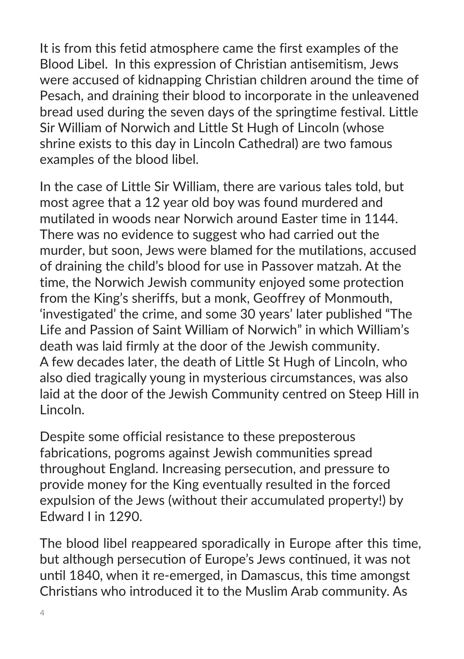It is from this fetid atmosphere came the first examples of the Blood Libel. In this expression of Christian antisemitism, Jews were accused of kidnapping Christian children around the time of Pesach, and draining their blood to incorporate in the unleavened bread used during the seven days of the springtime festival. Little Sir William of Norwich and Little St Hugh of Lincoln (whose shrine exists to this day in Lincoln Cathedral) are two famous examples of the blood libel.

In the case of Little Sir William, there are various tales told, but most agree that a 12 year old boy was found murdered and mutilated in woods near Norwich around Easter time in 1144. There was no evidence to suggest who had carried out the murder, but soon, Jews were blamed for the mutilations, accused of draining the child's blood for use in Passover matzah. At the time, the Norwich Jewish community enjoyed some protection from the King's sheriffs, but a monk, Geoffrey of Monmouth, 'investigated' the crime, and some 30 years' later published "The Life and Passion of Saint William of Norwich" in which William's death was laid firmly at the door of the Jewish community. A few decades later, the death of Little St Hugh of Lincoln, who also died tragically young in mysterious circumstances, was also laid at the door of the Jewish Community centred on Steep Hill in Lincoln.

Despite some official resistance to these preposterous fabrications, pogroms against Jewish communities spread throughout England. Increasing persecution, and pressure to provide money for the King eventually resulted in the forced expulsion of the Jews (without their accumulated property!) by Edward I in 1290.

The blood libel reappeared sporadically in Europe after this time, but although persecution of Europe's Jews continued, it was not until 1840, when it re-emerged, in Damascus, this time amongst Christians who introduced it to the Muslim Arab community. As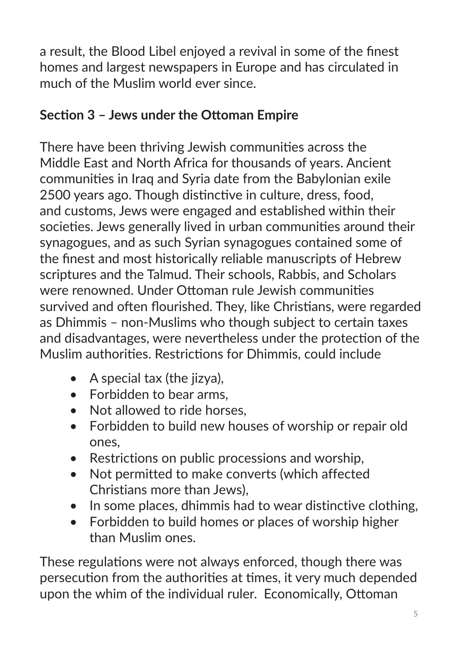a result, the Blood Libel enjoyed a revival in some of the finest homes and largest newspapers in Europe and has circulated in much of the Muslim world ever since.

#### **Section 3 – Jews under the Ottoman Empire**

There have been thriving Jewish communities across the Middle East and North Africa for thousands of years. Ancient communities in Iraq and Syria date from the Babylonian exile 2500 years ago. Though distinctive in culture, dress, food, and customs, Jews were engaged and established within their societies. Jews generally lived in urban communities around their synagogues, and as such Syrian synagogues contained some of the finest and most historically reliable manuscripts of Hebrew scriptures and the Talmud. Their schools, Rabbis, and Scholars were renowned. Under Ottoman rule Jewish communities survived and often flourished. They, like Christians, were regarded as Dhimmis – non-Muslims who though subject to certain taxes and disadvantages, were nevertheless under the protection of the Muslim authorities. Restrictions for Dhimmis, could include

- $\bullet$  A special tax (the iizva).
- Forbidden to bear arms,
- Not allowed to ride horses.
- Forbidden to build new houses of worship or repair old ones,
- Restrictions on public processions and worship,
- Not permitted to make converts (which affected Christians more than Jews),
- In some places, dhimmis had to wear distinctive clothing,
- Forbidden to build homes or places of worship higher than Muslim ones.

These regulations were not always enforced, though there was persecution from the authorities at times, it very much depended upon the whim of the individual ruler. Economically, Ottoman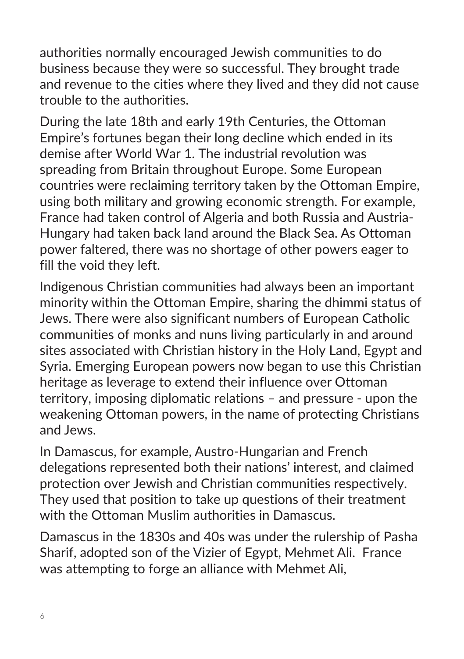authorities normally encouraged Jewish communities to do business because they were so successful. They brought trade and revenue to the cities where they lived and they did not cause trouble to the authorities.

During the late 18th and early 19th Centuries, the Ottoman Empire's fortunes began their long decline which ended in its demise after World War 1. The industrial revolution was spreading from Britain throughout Europe. Some European countries were reclaiming territory taken by the Ottoman Empire, using both military and growing economic strength. For example, France had taken control of Algeria and both Russia and Austria-Hungary had taken back land around the Black Sea. As Ottoman power faltered, there was no shortage of other powers eager to fill the void they left.

Indigenous Christian communities had always been an important minority within the Ottoman Empire, sharing the dhimmi status of Jews. There were also significant numbers of European Catholic communities of monks and nuns living particularly in and around sites associated with Christian history in the Holy Land, Egypt and Syria. Emerging European powers now began to use this Christian heritage as leverage to extend their influence over Ottoman territory, imposing diplomatic relations – and pressure - upon the weakening Ottoman powers, in the name of protecting Christians and Jews.

In Damascus, for example, Austro-Hungarian and French delegations represented both their nations' interest, and claimed protection over Jewish and Christian communities respectively. They used that position to take up questions of their treatment with the Ottoman Muslim authorities in Damascus.

Damascus in the 1830s and 40s was under the rulership of Pasha Sharif, adopted son of the Vizier of Egypt, Mehmet Ali. France was attempting to forge an alliance with Mehmet Ali,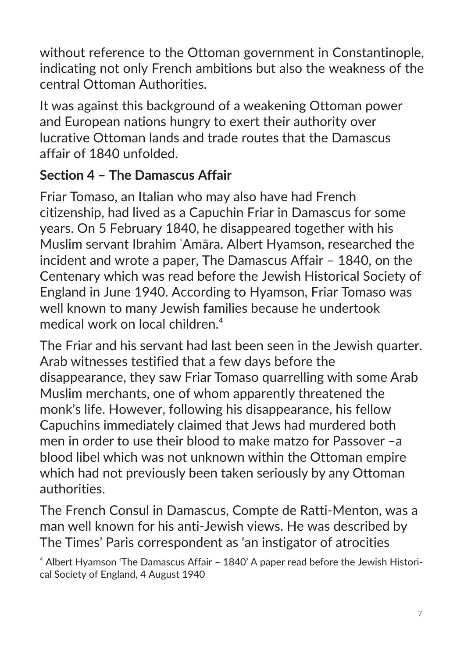without reference to the Ottoman government in Constantinople, indicating not only French ambitions but also the weakness of the central Ottoman Authorities.

It was against this background of a weakening Ottoman power and European nations hungry to exert their authority over lucrative Ottoman lands and trade routes that the Damascus affair of 1840 unfolded.

### **Section 4 – The Damascus Affair**

Friar Tomaso, an Italian who may also have had French citizenship, had lived as a Capuchin Friar in Damascus for some years. On 5 February 1840, he disappeared together with his Muslim servant Ibrahim ʿAmāra. Albert Hyamson, researched the incident and wrote a paper, The Damascus Affair – 1840, on the Centenary which was read before the Jewish Historical Society of England in June 1940. According to Hyamson, Friar Tomaso was well known to many Jewish families because he undertook medical work on local children.<sup>4</sup>

The Friar and his servant had last been seen in the Jewish quarter. Arab witnesses testified that a few days before the disappearance, they saw Friar Tomaso quarrelling with some Arab Muslim merchants, one of whom apparently threatened the monk's life. However, following his disappearance, his fellow Capuchins immediately claimed that Jews had murdered both men in order to use their blood to make matzo for Passover –a blood libel which was not unknown within the Ottoman empire which had not previously been taken seriously by any Ottoman authorities.

The French Consul in Damascus, Compte de Ratti-Menton, was a man well known for his anti-Jewish views. He was described by The Times' Paris correspondent as 'an instigator of atrocities

⁴ Albert Hyamson 'The Damascus Affair – 1840' A paper read before the Jewish Historical Society of England, 4 August 1940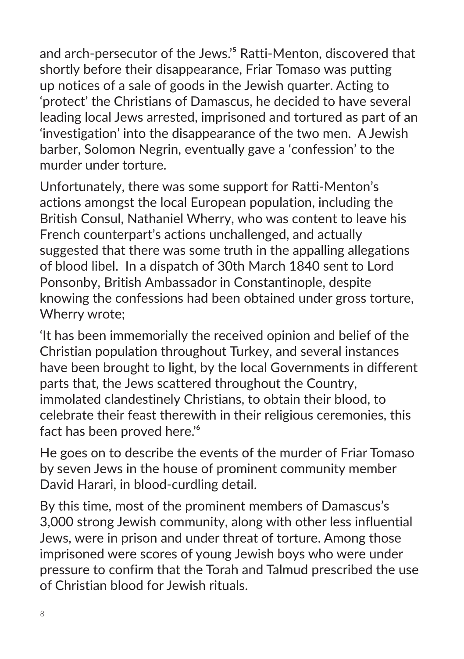and arch-persecutor of the Jews.<sup>'5</sup> Ratti-Menton, discovered that shortly before their disappearance, Friar Tomaso was putting up notices of a sale of goods in the Jewish quarter. Acting to 'protect' the Christians of Damascus, he decided to have several leading local Jews arrested, imprisoned and tortured as part of an 'investigation' into the disappearance of the two men. A Jewish barber, Solomon Negrin, eventually gave a 'confession' to the murder under torture.

Unfortunately, there was some support for Ratti-Menton's actions amongst the local European population, including the British Consul, Nathaniel Wherry, who was content to leave his French counterpart's actions unchallenged, and actually suggested that there was some truth in the appalling allegations of blood libel. In a dispatch of 30th March 1840 sent to Lord Ponsonby, British Ambassador in Constantinople, despite knowing the confessions had been obtained under gross torture, Wherry wrote;

'It has been immemorially the received opinion and belief of the Christian population throughout Turkey, and several instances have been brought to light, by the local Governments in different parts that, the Jews scattered throughout the Country, immolated clandestinely Christians, to obtain their blood, to celebrate their feast therewith in their religious ceremonies, this fact has been proved here.<sup>16</sup>

He goes on to describe the events of the murder of Friar Tomaso by seven Jews in the house of prominent community member David Harari, in blood-curdling detail.

By this time, most of the prominent members of Damascus's 3,000 strong Jewish community, along with other less influential Jews, were in prison and under threat of torture. Among those imprisoned were scores of young Jewish boys who were under pressure to confirm that the Torah and Talmud prescribed the use of Christian blood for Jewish rituals.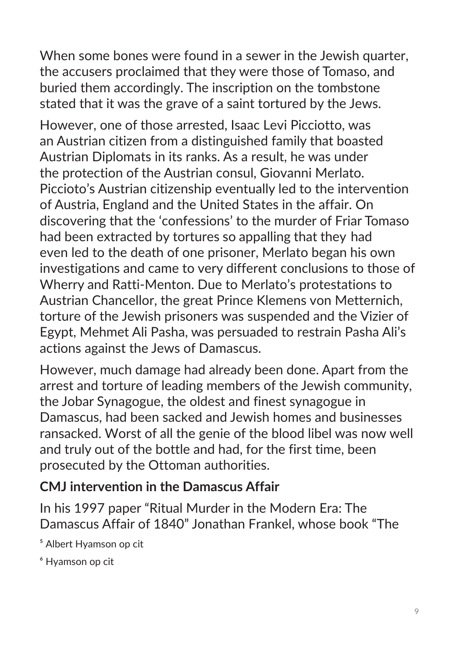When some bones were found in a sewer in the Jewish quarter, the accusers proclaimed that they were those of Tomaso, and buried them accordingly. The inscription on the tombstone stated that it was the grave of a saint tortured by the Jews.

However, one of those arrested, Isaac Levi Picciotto, was an Austrian citizen from a distinguished family that boasted Austrian Diplomats in its ranks. As a result, he was under the protection of the Austrian consul, Giovanni Merlato. Piccioto's Austrian citizenship eventually led to the intervention of Austria, England and the United States in the affair. On discovering that the 'confessions' to the murder of Friar Tomaso had been extracted by tortures so appalling that they had even led to the death of one prisoner, Merlato began his own investigations and came to very different conclusions to those of Wherry and Ratti-Menton. Due to Merlato's protestations to Austrian Chancellor, the great Prince Klemens von Metternich, torture of the Jewish prisoners was suspended and the Vizier of Egypt, Mehmet Ali Pasha, was persuaded to restrain Pasha Ali's actions against the Jews of Damascus.

However, much damage had already been done. Apart from the arrest and torture of leading members of the Jewish community, the Jobar Synagogue, the oldest and finest synagogue in Damascus, had been sacked and Jewish homes and businesses ransacked. Worst of all the genie of the blood libel was now well and truly out of the bottle and had, for the first time, been prosecuted by the Ottoman authorities.

#### **CMJ intervention in the Damascus Affair**

In his 1997 paper "Ritual Murder in the Modern Era: The Damascus Affair of 1840" Jonathan Frankel, whose book "The

⁵ Albert Hyamson op cit

⁶ Hyamson op cit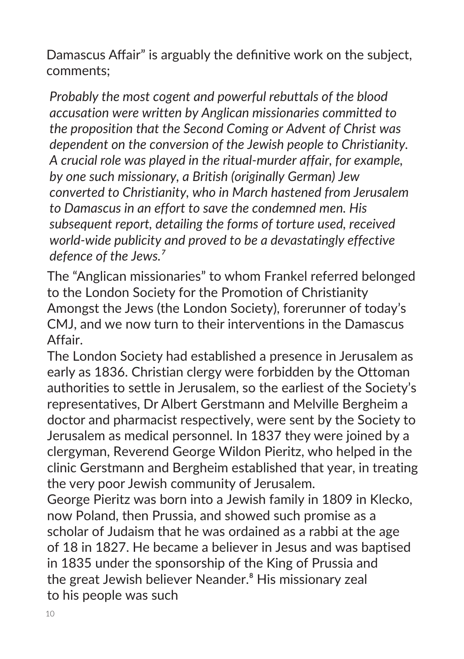Damascus Affair" is arguably the definitive work on the subject, comments;

*Probably the most cogent and powerful rebuttals of the blood accusation were written by Anglican missionaries committed to the proposition that the Second Coming or Advent of Christ was dependent on the conversion of the Jewish people to Christianity. A crucial role was played in the ritual-murder affair, for example, by one such missionary, a British (originally German) Jew converted to Christianity, who in March hastened from Jerusalem to Damascus in an effort to save the condemned men. His subsequent report, detailing the forms of torture used, received world-wide publicity and proved to be a devastatingly effective defence of the Jews.⁷*

The "Anglican missionaries" to whom Frankel referred belonged to the London Society for the Promotion of Christianity Amongst the Jews (the London Society), forerunner of today's CMJ, and we now turn to their interventions in the Damascus Affair.

The London Society had established a presence in Jerusalem as early as 1836. Christian clergy were forbidden by the Ottoman authorities to settle in Jerusalem, so the earliest of the Society's representatives, Dr Albert Gerstmann and Melville Bergheim a doctor and pharmacist respectively, were sent by the Society to Jerusalem as medical personnel. In 1837 they were joined by a clergyman, Reverend George Wildon Pieritz, who helped in the clinic Gerstmann and Bergheim established that year, in treating the very poor Jewish community of Jerusalem.

George Pieritz was born into a Jewish family in 1809 in Klecko, now Poland, then Prussia, and showed such promise as a scholar of Judaism that he was ordained as a rabbi at the age of 18 in 1827. He became a believer in Jesus and was baptised in 1835 under the sponsorship of the King of Prussia and the great Jewish believer Neander.<sup>8</sup> His missionary zeal to his people was such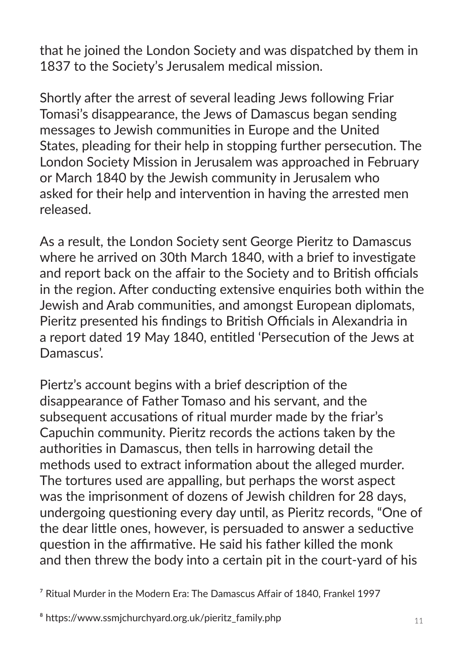that he joined the London Society and was dispatched by them in 1837 to the Society's Jerusalem medical mission.

Shortly after the arrest of several leading Jews following Friar Tomasi's disappearance, the Jews of Damascus began sending messages to Jewish communities in Europe and the United States, pleading for their help in stopping further persecution. The London Society Mission in Jerusalem was approached in February or March 1840 by the Jewish community in Jerusalem who asked for their help and intervention in having the arrested men released.

As a result, the London Society sent George Pieritz to Damascus where he arrived on 30th March 1840, with a brief to investigate and report back on the affair to the Society and to British officials in the region. After conducting extensive enquiries both within the Jewish and Arab communities, and amongst European diplomats, Pieritz presented his findings to British Officials in Alexandria in a report dated 19 May 1840, entitled 'Persecution of the Jews at Damascus'.

Piertz's account begins with a brief description of the disappearance of Father Tomaso and his servant, and the subsequent accusations of ritual murder made by the friar's Capuchin community. Pieritz records the actions taken by the authorities in Damascus, then tells in harrowing detail the methods used to extract information about the alleged murder. The tortures used are appalling, but perhaps the worst aspect was the imprisonment of dozens of Jewish children for 28 days, undergoing questioning every day until, as Pieritz records, "One of the dear little ones, however, is persuaded to answer a seductive question in the affirmative. He said his father killed the monk and then threw the body into a certain pit in the court-yard of his

 $\frac{7}{7}$  Ritual Murder in the Modern Era: The Damascus Affair of 1840, Frankel 1997

⁸ https://www.ssmjchurchyard.org.uk/pieritz\_family.php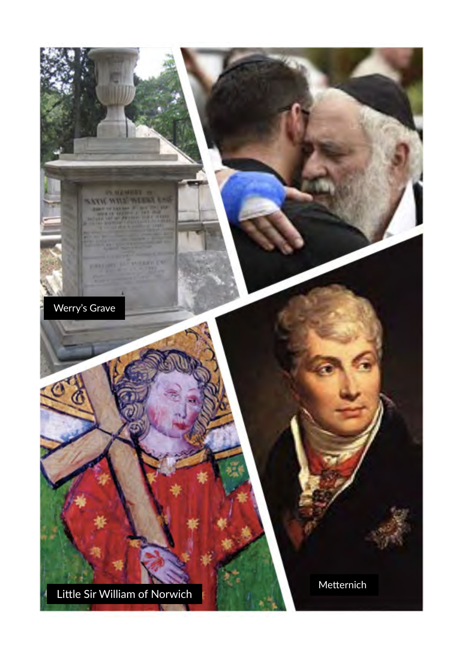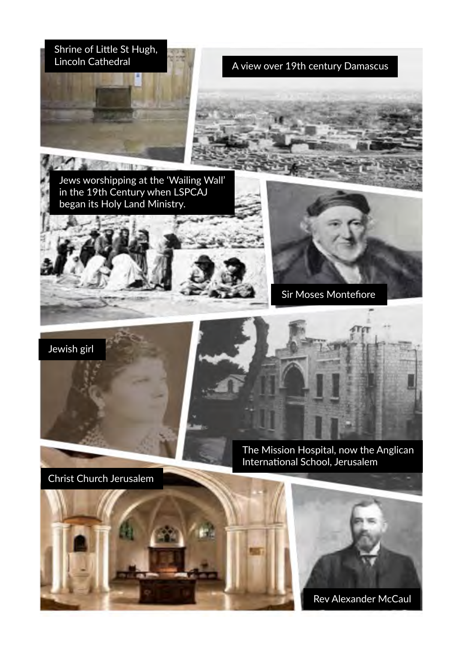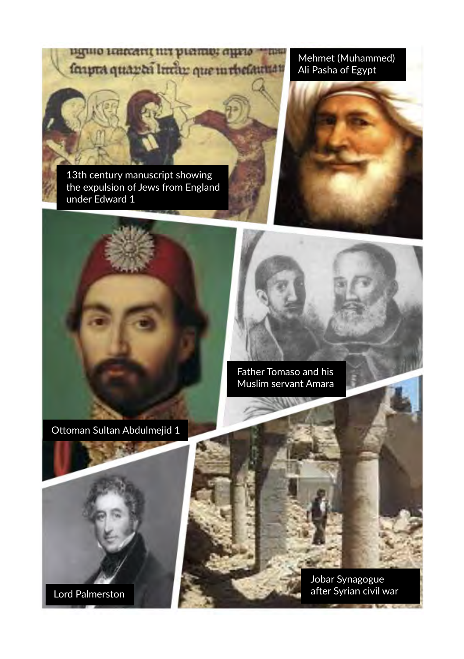BIGHIO LEHECHTI INTERIORE GILETO **TIME** faipra quanta lintan que in thefaunan

13th century manuscript showing the expulsion of Jews from England under Edward 1

Mehmet (Muhammed) Ali Pasha of Egypt





Father Tomaso and his Muslim servant Amara

Lord Palmerston

Jobar Synagogue after Syrian civil war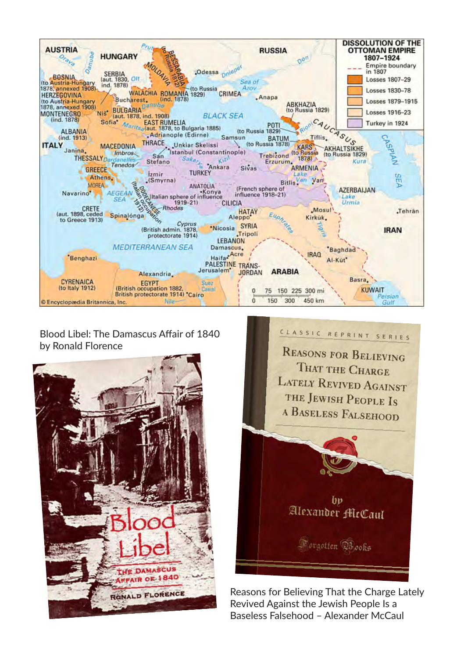

#### Blood Libel: The Damascus Affair of 1840 by Ronald Florence





Reasons for Believing That the Charge Lately Revived Against the Jewish People Is a Baseless Falsehood – Alexander McCaul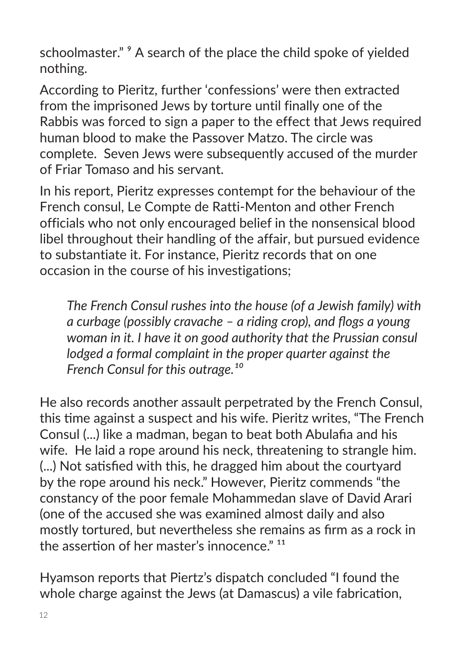schoolmaster." <sup>9</sup> A search of the place the child spoke of yielded nothing.

According to Pieritz, further 'confessions' were then extracted from the imprisoned Jews by torture until finally one of the Rabbis was forced to sign a paper to the effect that Jews required human blood to make the Passover Matzo. The circle was complete. Seven Jews were subsequently accused of the murder of Friar Tomaso and his servant.

In his report, Pieritz expresses contempt for the behaviour of the French consul, Le Compte de Ratti-Menton and other French officials who not only encouraged belief in the nonsensical blood libel throughout their handling of the affair, but pursued evidence to substantiate it. For instance, Pieritz records that on one occasion in the course of his investigations;

*The French Consul rushes into the house (of a Jewish family) with a curbage (possibly cravache – a riding crop), and flogs a young woman in it. I have it on good authority that the Prussian consul lodged a formal complaint in the proper quarter against the French Consul for this outrage.*<sup>10</sup>

He also records another assault perpetrated by the French Consul, this time against a suspect and his wife. Pieritz writes, "The French Consul (...) like a madman, began to beat both Abulafia and his wife. He laid a rope around his neck, threatening to strangle him. (...) Not satisfied with this, he dragged him about the courtyard by the rope around his neck." However, Pieritz commends "the constancy of the poor female Mohammedan slave of David Arari (one of the accused she was examined almost daily and also mostly tortured, but nevertheless she remains as firm as a rock in the assertion of her master's innocence." <sup>11</sup>

Hyamson reports that Piertz's dispatch concluded "I found the whole charge against the Jews (at Damascus) a vile fabrication,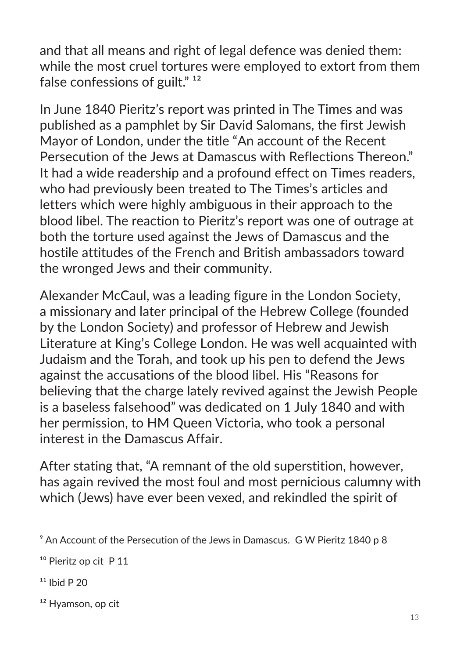and that all means and right of legal defence was denied them: while the most cruel tortures were employed to extort from them false confessions of guilt." $12$ 

In June 1840 Pieritz's report was printed in The Times and was published as a pamphlet by Sir David Salomans, the first Jewish Mayor of London, under the title "An account of the Recent Persecution of the Jews at Damascus with Reflections Thereon." It had a wide readership and a profound effect on Times readers, who had previously been treated to The Times's articles and letters which were highly ambiguous in their approach to the blood libel. The reaction to Pieritz's report was one of outrage at both the torture used against the Jews of Damascus and the hostile attitudes of the French and British ambassadors toward the wronged Jews and their community.

Alexander McCaul, was a leading figure in the London Society, a missionary and later principal of the Hebrew College (founded by the London Society) and professor of Hebrew and Jewish Literature at King's College London. He was well acquainted with Judaism and the Torah, and took up his pen to defend the Jews against the accusations of the blood libel. His "Reasons for believing that the charge lately revived against the Jewish People is a baseless falsehood" was dedicated on 1 July 1840 and with her permission, to HM Queen Victoria, who took a personal interest in the Damascus Affair.

After stating that, "A remnant of the old superstition, however, has again revived the most foul and most pernicious calumny with which (Jews) have ever been vexed, and rekindled the spirit of

- $11$  Ibid P 20
- <sup>12</sup> Hyamson, op cit

⁹ An Account of the Persecution of the Jews in Damascus. G W Pieritz 1840 p 8

<sup>&</sup>lt;sup>10</sup> Pieritz op cit P 11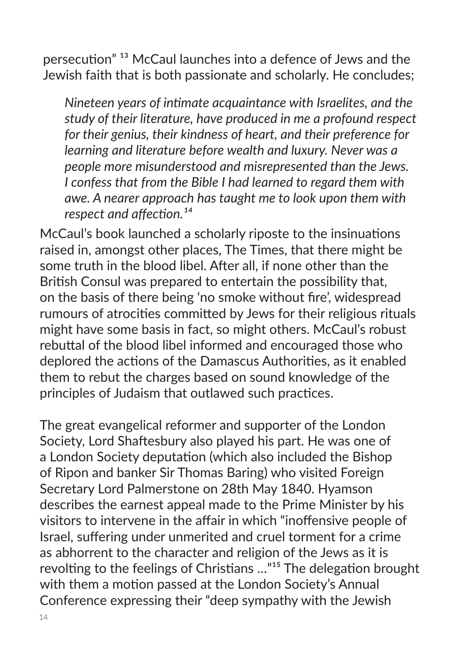persecution<sup>" 13</sup> McCaul launches into a defence of Jews and the Jewish faith that is both passionate and scholarly. He concludes;

*Nineteen years of intimate acquaintance with Israelites, and the study of their literature, have produced in me a profound respect for their genius, their kindness of heart, and their preference for learning and literature before wealth and luxury. Never was a people more misunderstood and misrepresented than the Jews. I confess that from the Bible I had learned to regard them with awe. A nearer approach has taught me to look upon them with respect and affection.*<sup>14</sup>

McCaul's book launched a scholarly riposte to the insinuations raised in, amongst other places, The Times, that there might be some truth in the blood libel. After all, if none other than the British Consul was prepared to entertain the possibility that, on the basis of there being 'no smoke without fire', widespread rumours of atrocities committed by Jews for their religious rituals might have some basis in fact, so might others. McCaul's robust rebuttal of the blood libel informed and encouraged those who deplored the actions of the Damascus Authorities, as it enabled them to rebut the charges based on sound knowledge of the principles of Judaism that outlawed such practices.

The great evangelical reformer and supporter of the London Society, Lord Shaftesbury also played his part. He was one of a London Society deputation (which also included the Bishop of Ripon and banker Sir Thomas Baring) who visited Foreign Secretary Lord Palmerstone on 28th May 1840. Hyamson describes the earnest appeal made to the Prime Minister by his visitors to intervene in the affair in which "inoffensive people of Israel, suffering under unmerited and cruel torment for a crime as abhorrent to the character and religion of the Jews as it is revolting to the feelings of Christians ..."<sup>15</sup> The delegation brought with them a motion passed at the London Society's Annual Conference expressing their "deep sympathy with the Jewish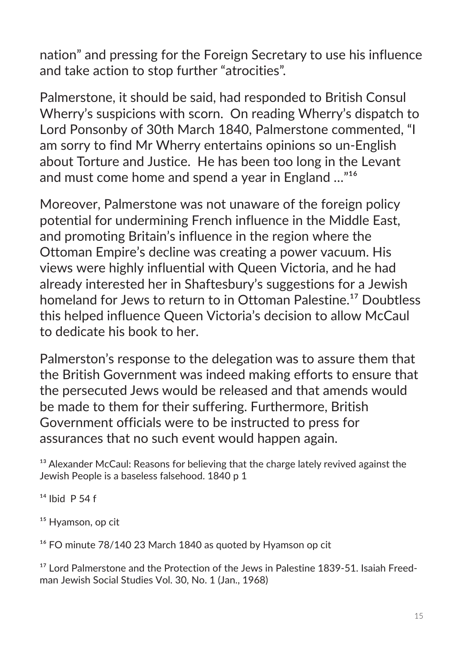nation" and pressing for the Foreign Secretary to use his influence and take action to stop further "atrocities".

Palmerstone, it should be said, had responded to British Consul Wherry's suspicions with scorn. On reading Wherry's dispatch to Lord Ponsonby of 30th March 1840, Palmerstone commented, "I am sorry to find Mr Wherry entertains opinions so un-English about Torture and Justice. He has been too long in the Levant and must come home and spend a year in England  $\ldots$ <sup>"16</sup>

Moreover, Palmerstone was not unaware of the foreign policy potential for undermining French influence in the Middle East, and promoting Britain's influence in the region where the Ottoman Empire's decline was creating a power vacuum. His views were highly influential with Queen Victoria, and he had already interested her in Shaftesbury's suggestions for a Jewish homeland for Jews to return to in Ottoman Palestine.<sup>17</sup> Doubtless this helped influence Queen Victoria's decision to allow McCaul to dedicate his book to her.

Palmerston's response to the delegation was to assure them that the British Government was indeed making efforts to ensure that the persecuted Jews would be released and that amends would be made to them for their suffering. Furthermore, British Government officials were to be instructed to press for assurances that no such event would happen again.

<sup>13</sup> Alexander McCaul: Reasons for believing that the charge lately revived against the Jewish People is a baseless falsehood. 1840 p 1

 $14$  Ihid P 54 f

<sup>15</sup> Hyamson, op cit

<sup>16</sup> FO minute 78/140 23 March 1840 as quoted by Hyamson op cit

<sup>17</sup> Lord Palmerstone and the Protection of the Jews in Palestine 1839-51. Isaiah Freedman Jewish Social Studies Vol. 30, No. 1 (Jan., 1968)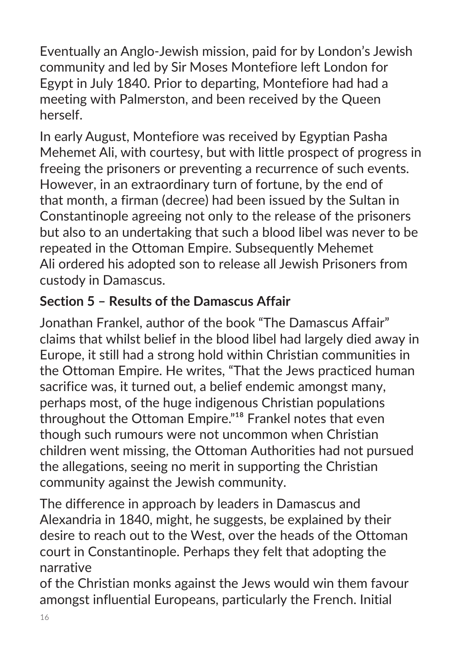Eventually an Anglo-Jewish mission, paid for by London's Jewish community and led by Sir Moses Montefiore left London for Egypt in July 1840. Prior to departing, Montefiore had had a meeting with Palmerston, and been received by the Queen herself.

In early August, Montefiore was received by Egyptian Pasha Mehemet Ali, with courtesy, but with little prospect of progress in freeing the prisoners or preventing a recurrence of such events. However, in an extraordinary turn of fortune, by the end of that month, a firman (decree) had been issued by the Sultan in Constantinople agreeing not only to the release of the prisoners but also to an undertaking that such a blood libel was never to be repeated in the Ottoman Empire. Subsequently Mehemet Ali ordered his adopted son to release all Jewish Prisoners from custody in Damascus.

## **Section 5 – Results of the Damascus Affair**

Jonathan Frankel, author of the book "The Damascus Affair" claims that whilst belief in the blood libel had largely died away in Europe, it still had a strong hold within Christian communities in the Ottoman Empire. He writes, "That the Jews practiced human sacrifice was, it turned out, a belief endemic amongst many, perhaps most, of the huge indigenous Christian populations throughout the Ottoman Empire."<sup>18</sup> Frankel notes that even though such rumours were not uncommon when Christian children went missing, the Ottoman Authorities had not pursued the allegations, seeing no merit in supporting the Christian community against the Jewish community.

The difference in approach by leaders in Damascus and Alexandria in 1840, might, he suggests, be explained by their desire to reach out to the West, over the heads of the Ottoman court in Constantinople. Perhaps they felt that adopting the narrative

of the Christian monks against the Jews would win them favour amongst influential Europeans, particularly the French. Initial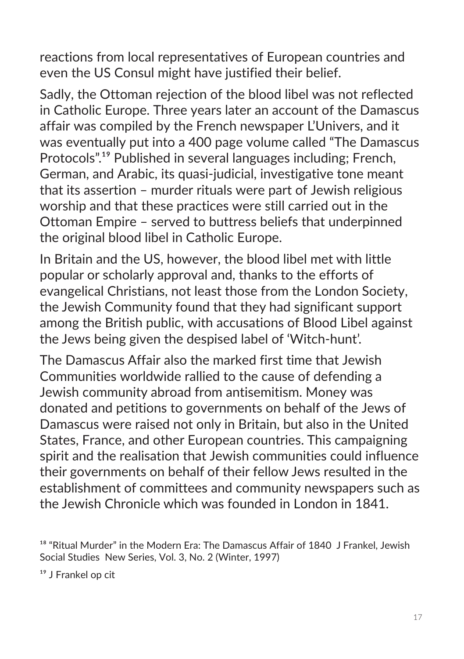reactions from local representatives of European countries and even the US Consul might have justified their belief.

Sadly, the Ottoman rejection of the blood libel was not reflected in Catholic Europe. Three years later an account of the Damascus affair was compiled by the French newspaper L'Univers, and it was eventually put into a 400 page volume called "The Damascus Protocols".<sup>19</sup> Published in several languages including; French, German, and Arabic, its quasi-judicial, investigative tone meant that its assertion – murder rituals were part of Jewish religious worship and that these practices were still carried out in the Ottoman Empire – served to buttress beliefs that underpinned the original blood libel in Catholic Europe.

In Britain and the US, however, the blood libel met with little popular or scholarly approval and, thanks to the efforts of evangelical Christians, not least those from the London Society, the Jewish Community found that they had significant support among the British public, with accusations of Blood Libel against the Jews being given the despised label of 'Witch-hunt'.

The Damascus Affair also the marked first time that Jewish Communities worldwide rallied to the cause of defending a Jewish community abroad from antisemitism. Money was donated and petitions to governments on behalf of the Jews of Damascus were raised not only in Britain, but also in the United States, France, and other European countries. This campaigning spirit and the realisation that Jewish communities could influence their governments on behalf of their fellow Jews resulted in the establishment of committees and community newspapers such as the Jewish Chronicle which was founded in London in 1841.

 $^{\rm 18}$  "Ritual Murder" in the Modern Era: The Damascus Affair of 1840 J Frankel, Jewish Social Studies New Series, Vol. 3, No. 2 (Winter, 1997)

<sup>&</sup>lt;sup>19</sup> J Frankel op cit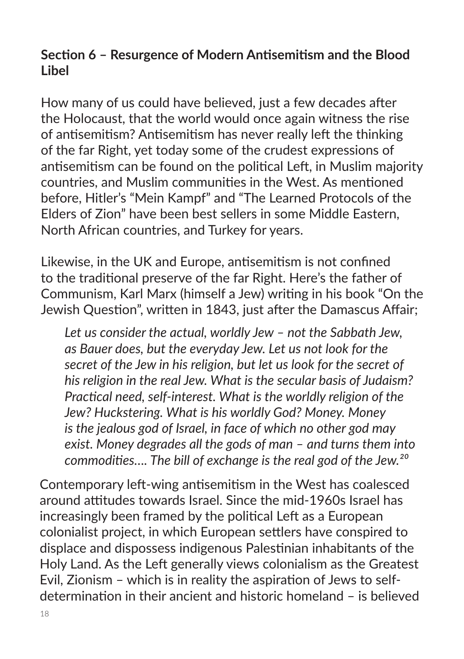#### **Section 6 – Resurgence of Modern Antisemitism and the Blood Libel**

How many of us could have believed, just a few decades after the Holocaust, that the world would once again witness the rise of antisemitism? Antisemitism has never really left the thinking of the far Right, yet today some of the crudest expressions of antisemitism can be found on the political Left, in Muslim majority countries, and Muslim communities in the West. As mentioned before, Hitler's "Mein Kampf" and "The Learned Protocols of the Elders of Zion" have been best sellers in some Middle Eastern, North African countries, and Turkey for years.

Likewise, in the UK and Europe, antisemitism is not confined to the traditional preserve of the far Right. Here's the father of Communism, Karl Marx (himself a Jew) writing in his book "On the Jewish Question", written in 1843, just after the Damascus Affair;

*Let us consider the actual, worldly Jew – not the Sabbath Jew, as Bauer does, but the everyday Jew. Let us not look for the secret of the Jew in his religion, but let us look for the secret of his religion in the real Jew. What is the secular basis of Judaism? Practical need, self-interest. What is the worldly religion of the Jew? Huckstering. What is his worldly God? Money. Money is the jealous god of Israel, in face of which no other god may exist. Money degrades all the gods of man – and turns them into commodities…. The bill of exchange is the real god of the Jew.²⁰* 

Contemporary left-wing antisemitism in the West has coalesced around attitudes towards Israel. Since the mid-1960s Israel has increasingly been framed by the political Left as a European colonialist project, in which European settlers have conspired to displace and dispossess indigenous Palestinian inhabitants of the Holy Land. As the Left generally views colonialism as the Greatest Evil, Zionism – which is in reality the aspiration of Jews to selfdetermination in their ancient and historic homeland – is believed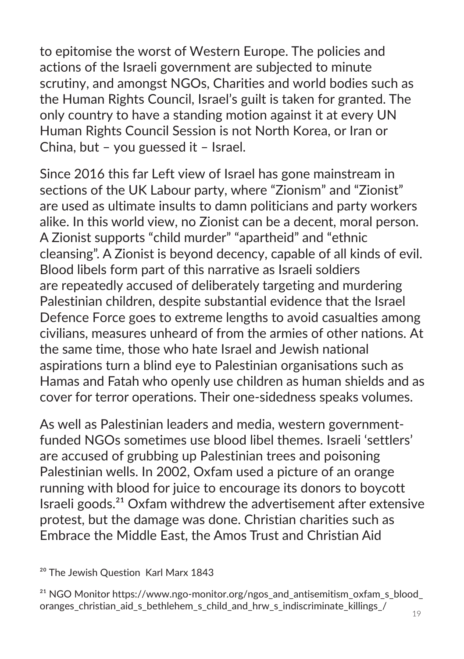to epitomise the worst of Western Europe. The policies and actions of the Israeli government are subjected to minute scrutiny, and amongst NGOs, Charities and world bodies such as the Human Rights Council, Israel's guilt is taken for granted. The only country to have a standing motion against it at every UN Human Rights Council Session is not North Korea, or Iran or China, but – you guessed it – Israel.

Since 2016 this far Left view of Israel has gone mainstream in sections of the UK Labour party, where "Zionism" and "Zionist" are used as ultimate insults to damn politicians and party workers alike. In this world view, no Zionist can be a decent, moral person. A Zionist supports "child murder" "apartheid" and "ethnic cleansing". A Zionist is beyond decency, capable of all kinds of evil. Blood libels form part of this narrative as Israeli soldiers are repeatedly accused of deliberately targeting and murdering Palestinian children, despite substantial evidence that the Israel Defence Force goes to extreme lengths to avoid casualties among civilians, measures unheard of from the armies of other nations. At the same time, those who hate Israel and Jewish national aspirations turn a blind eye to Palestinian organisations such as Hamas and Fatah who openly use children as human shields and as cover for terror operations. Their one-sidedness speaks volumes.

As well as Palestinian leaders and media, western governmentfunded NGOs sometimes use blood libel themes. Israeli 'settlers' are accused of grubbing up Palestinian trees and poisoning Palestinian wells. In 2002, Oxfam used a picture of an orange running with blood for juice to encourage its donors to boycott Israeli goods. $21$  Oxfam withdrew the advertisement after extensive protest, but the damage was done. Christian charities such as Embrace the Middle East, the Amos Trust and Christian Aid

<sup>20</sup> The Jewish Question Karl Marx 1843

<sup>&</sup>lt;sup>21</sup> NGO Monitor https://www.ngo-monitor.org/ngos\_and\_antisemitism\_oxfam\_s\_blood oranges christian aid s bethlehem s child and hrw s indiscriminate killings /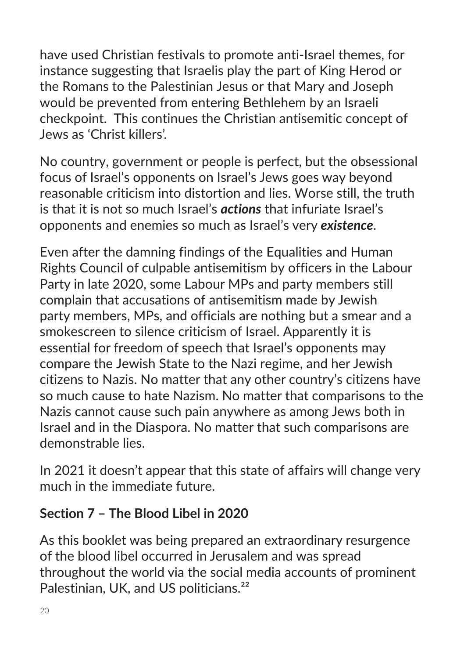have used Christian festivals to promote anti-Israel themes, for instance suggesting that Israelis play the part of King Herod or the Romans to the Palestinian Jesus or that Mary and Joseph would be prevented from entering Bethlehem by an Israeli checkpoint. This continues the Christian antisemitic concept of Jews as 'Christ killers'.

No country, government or people is perfect, but the obsessional focus of Israel's opponents on Israel's Jews goes way beyond reasonable criticism into distortion and lies. Worse still, the truth is that it is not so much Israel's *actions* that infuriate Israel's opponents and enemies so much as Israel's very *existence*.

Even after the damning findings of the Equalities and Human Rights Council of culpable antisemitism by officers in the Labour Party in late 2020, some Labour MPs and party members still complain that accusations of antisemitism made by Jewish party members, MPs, and officials are nothing but a smear and a smokescreen to silence criticism of Israel. Apparently it is essential for freedom of speech that Israel's opponents may compare the Jewish State to the Nazi regime, and her Jewish citizens to Nazis. No matter that any other country's citizens have so much cause to hate Nazism. No matter that comparisons to the Nazis cannot cause such pain anywhere as among Jews both in Israel and in the Diaspora. No matter that such comparisons are demonstrable lies.

In 2021 it doesn't appear that this state of affairs will change very much in the immediate future.

#### **Section 7 – The Blood Libel in 2020**

As this booklet was being prepared an extraordinary resurgence of the blood libel occurred in Jerusalem and was spread throughout the world via the social media accounts of prominent Palestinian, UK, and US politicians.<sup>22</sup>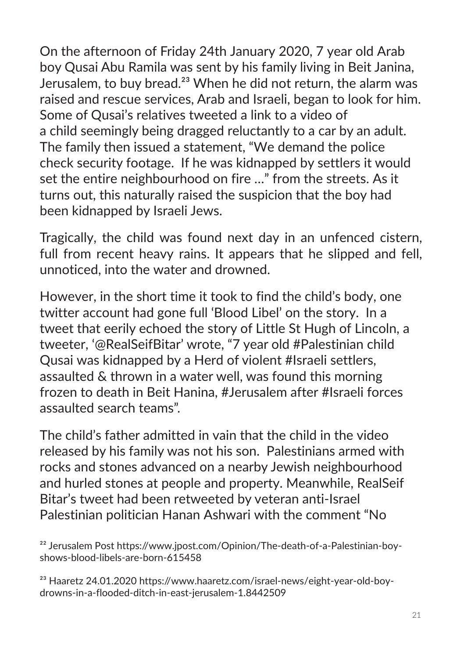On the afternoon of Friday 24th January 2020, 7 year old Arab boy Qusai Abu Ramila was sent by his family living in Beit Janina, Jerusalem, to buy bread.<sup>23</sup> When he did not return, the alarm was raised and rescue services, Arab and Israeli, began to look for him. Some of Qusai's relatives tweeted a link to a video of a child seemingly being dragged reluctantly to a car by an adult. The family then issued a statement, "We demand the police check security footage. If he was kidnapped by settlers it would set the entire neighbourhood on fire …" from the streets. As it turns out, this naturally raised the suspicion that the boy had been kidnapped by Israeli Jews.

Tragically, the child was found next day in an unfenced cistern, full from recent heavy rains. It appears that he slipped and fell, unnoticed, into the water and drowned.

However, in the short time it took to find the child's body, one twitter account had gone full 'Blood Libel' on the story. In a tweet that eerily echoed the story of Little St Hugh of Lincoln, a tweeter, '@RealSeifBitar' wrote, "7 year old #Palestinian child Qusai was kidnapped by a Herd of violent #Israeli settlers, assaulted & thrown in a water well, was found this morning frozen to death in Beit Hanina, #Jerusalem after #Israeli forces assaulted search teams".

The child's father admitted in vain that the child in the video released by his family was not his son. Palestinians armed with rocks and stones advanced on a nearby Jewish neighbourhood and hurled stones at people and property. Meanwhile, RealSeif Bitar's tweet had been retweeted by veteran anti-Israel Palestinian politician Hanan Ashwari with the comment "No

²² Jerusalem Post https://www.jpost.com/Opinion/The-death-of-a-Palestinian-boyshows-blood-libels-are-born-615458

<sup>&</sup>lt;sup>23</sup> Haaretz 24.01.2020 https://www.haaretz.com/israel-news/eight-year-old-boydrowns-in-a-flooded-ditch-in-east-jerusalem-1.8442509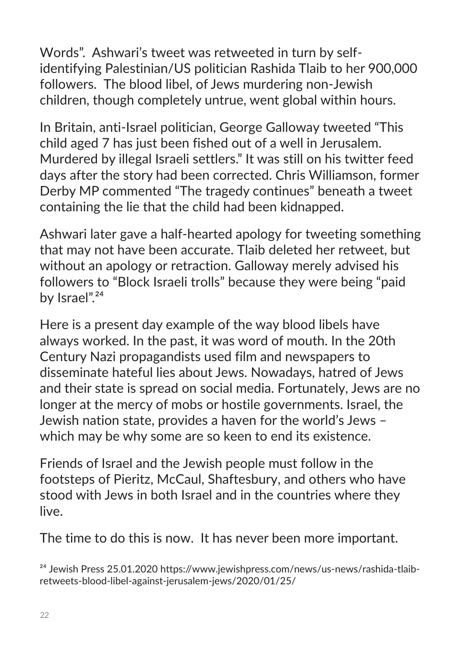Words". Ashwari's tweet was retweeted in turn by selfidentifying Palestinian/US politician Rashida Tlaib to her 900,000 followers. The blood libel, of Jews murdering non-Jewish children, though completely untrue, went global within hours.

In Britain, anti-Israel politician, George Galloway tweeted "This child aged 7 has just been fished out of a well in Jerusalem. Murdered by illegal Israeli settlers." It was still on his twitter feed days after the story had been corrected. Chris Williamson, former Derby MP commented "The tragedy continues" beneath a tweet containing the lie that the child had been kidnapped.

Ashwari later gave a half-hearted apology for tweeting something that may not have been accurate. Tlaib deleted her retweet, but without an apology or retraction. Galloway merely advised his followers to "Block Israeli trolls" because they were being "paid by Israel".<sup>24</sup>

Here is a present day example of the way blood libels have always worked. In the past, it was word of mouth. In the 20th Century Nazi propagandists used film and newspapers to disseminate hateful lies about Jews. Nowadays, hatred of Jews and their state is spread on social media. Fortunately, Jews are no longer at the mercy of mobs or hostile governments. Israel, the Jewish nation state, provides a haven for the world's Jews – which may be why some are so keen to end its existence.

Friends of Israel and the Jewish people must follow in the footsteps of Pieritz, McCaul, Shaftesbury, and others who have stood with Jews in both Israel and in the countries where they live.

The time to do this is now. It has never been more important.

<sup>&</sup>lt;sup>24</sup> Jewish Press 25.01.2020 https://www.jewishpress.com/news/us-news/rashida-tlaibretweets-blood-libel-against-jerusalem-jews/2020/01/25/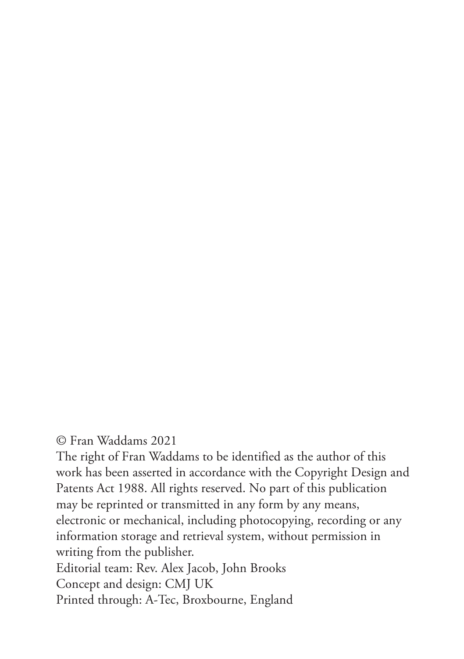© Fran Waddams 2021

The right of Fran Waddams to be identified as the author of this work has been asserted in accordance with the Copyright Design and Patents Act 1988. All rights reserved. No part of this publication may be reprinted or transmitted in any form by any means, electronic or mechanical, including photocopying, recording or any information storage and retrieval system, without permission in writing from the publisher. Editorial team: Rev. Alex Jacob, John Brooks Concept and design: CMJ UK Printed through: A-Tec, Broxbourne, England